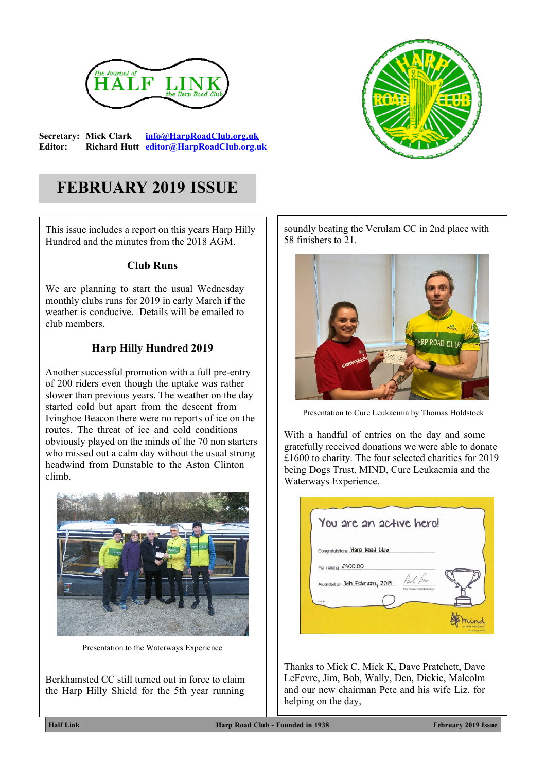

**Secretary: Mick Clark [info@HarpRoadClub.org.uk](mailto:info@HarpRoadClub.org.uk) Editor: Richard Hutt [editor@HarpRoadClub.org.uk](mailto:editor@HarpRoadClub.org.uk)**



# **FEBRUARY 2019 ISSUE**

This issue includes a report on this years Harp Hilly Hundred and the minutes from the 2018 AGM.

#### **Club Runs**

We are planning to start the usual Wednesday monthly clubs runs for 2019 in early March if the weather is conducive. Details will be emailed to club members.

### **Harp Hilly Hundred 2019**

Another successful promotion with a full pre-entry of 200 riders even though the uptake was rather slower than previous years. The weather on the day started cold but apart from the descent from Ivinghoe Beacon there were no reports of ice on the routes. The threat of ice and cold conditions obviously played on the minds of the 70 non starters who missed out a calm day without the usual strong headwind from Dunstable to the Aston Clinton climb.



Presentation to the Waterways Experience

Berkhamsted CC still turned out in force to claim the Harp Hilly Shield for the 5th year running

soundly beating the Verulam CC in 2nd place with 58 finishers to 21.



Presentation to Cure Leukaemia by Thomas Holdstock

With a handful of entries on the day and some gratefully received donations we were able to donate £1600 to charity. The four selected charities for 2019 being Dogs Trust, MIND, Cure Leukaemia and the Waterways Experience.

| You are an active hero!        |                                          |  |
|--------------------------------|------------------------------------------|--|
| Congratulations Harp Road Club |                                          |  |
| For raising £400.00            |                                          |  |
| Awarded on 8th February 2019   | Paul for<br>Roul Former, Chief Executive |  |
| Issue No. 1                    |                                          |  |

Thanks to Mick C, Mick K, Dave Pratchett, Dave LeFevre, Jim, Bob, Wally, Den, Dickie, Malcolm and our new chairman Pete and his wife Liz. for helping on the day,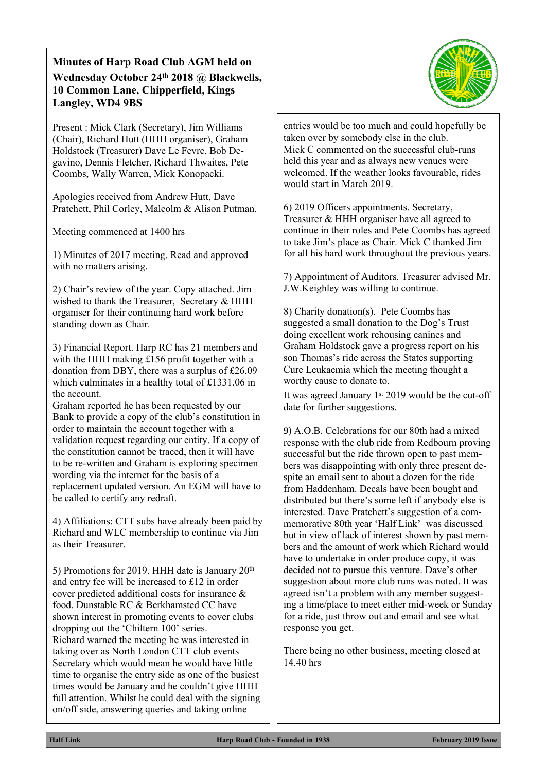#### **Minutes of Harp Road Club AGM held on Wednesday October 24th 2018 @ Blackwells, 10 Common Lane, Chipperfield, Kings Langley, WD4 9BS**

Present : Mick Clark (Secretary), Jim Williams (Chair), Richard Hutt (HHH organiser), Graham Holdstock (Treasurer) Dave Le Fevre, Bob Degavino, Dennis Fletcher, Richard Thwaites, Pete Coombs, Wally Warren, Mick Konopacki.

Apologies received from Andrew Hutt, Dave Pratchett, Phil Corley, Malcolm & Alison Putman.

Meeting commenced at 1400 hrs

1) Minutes of 2017 meeting. Read and approved with no matters arising.

2) Chair's review of the year. Copy attached. Jim wished to thank the Treasurer, Secretary & HHH organiser for their continuing hard work before standing down as Chair.

3) Financial Report. Harp RC has 21 members and with the HHH making £156 profit together with a donation from DBY, there was a surplus of £26.09 which culminates in a healthy total of £1331.06 in the account.

Graham reported he has been requested by our Bank to provide a copy of the club's constitution in order to maintain the account together with a validation request regarding our entity. If a copy of the constitution cannot be traced, then it will have to be re-written and Graham is exploring specimen wording via the internet for the basis of a replacement updated version. An EGM will have to be called to certify any redraft.

4) Affiliations: CTT subs have already been paid by Richard and WLC membership to continue via Jim as their Treasurer.

5) Promotions for 2019. HHH date is January 20th and entry fee will be increased to £12 in order cover predicted additional costs for insurance & food. Dunstable RC & Berkhamsted CC have shown interest in promoting events to cover clubs dropping out the 'Chiltern 100' series. Richard warned the meeting he was interested in taking over as North London CTT club events Secretary which would mean he would have little time to organise the entry side as one of the busiest times would be January and he couldn't give HHH full attention. Whilst he could deal with the signing on/off side, answering queries and taking online



entries would be too much and could hopefully be taken over by somebody else in the club. Mick C commented on the successful club-runs held this year and as always new venues were welcomed. If the weather looks favourable, rides would start in March 2019.

6) 2019 Officers appointments. Secretary, Treasurer & HHH organiser have all agreed to continue in their roles and Pete Coombs has agreed to take Jim's place as Chair. Mick C thanked Jim for all his hard work throughout the previous years.

7) Appointment of Auditors. Treasurer advised Mr. J.W.Keighley was willing to continue.

8) Charity donation(s). Pete Coombs has suggested a small donation to the Dog's Trust doing excellent work rehousing canines and Graham Holdstock gave a progress report on his son Thomas's ride across the States supporting Cure Leukaemia which the meeting thought a worthy cause to donate to.

It was agreed January  $1<sup>st</sup> 2019$  would be the cut-off date for further suggestions.

9) A.O.B. Celebrations for our 80th had a mixed response with the club ride from Redbourn proving successful but the ride thrown open to past members was disappointing with only three present despite an email sent to about a dozen for the ride from Haddenham. Decals have been bought and distributed but there's some left if anybody else is interested. Dave Pratchett's suggestion of a commemorative 80th year 'Half Link' was discussed but in view of lack of interest shown by past members and the amount of work which Richard would have to undertake in order produce copy, it was decided not to pursue this venture. Dave's other suggestion about more club runs was noted. It was agreed isn't a problem with any member suggesting a time/place to meet either mid-week or Sunday for a ride, just throw out and email and see what response you get.

There being no other business, meeting closed at 14.40 hrs